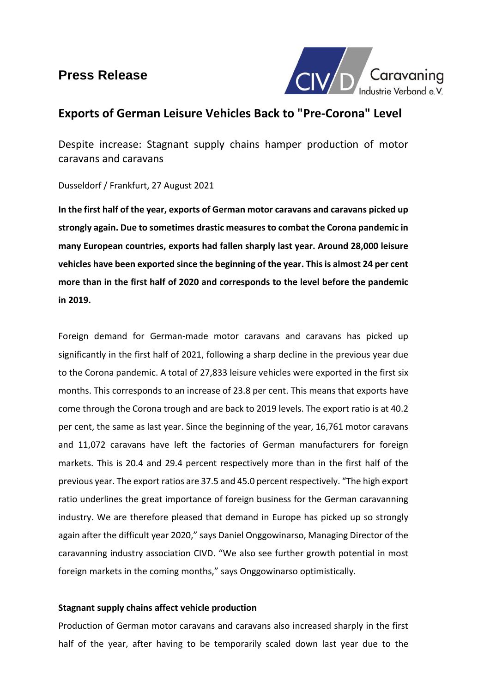# **Press Release**



# **Exports of German Leisure Vehicles Back to "Pre-Corona" Level**

Despite increase: Stagnant supply chains hamper production of motor caravans and caravans

Dusseldorf / Frankfurt, 27 August 2021

**In the first half of the year, exports of German motor caravans and caravans picked up strongly again. Due to sometimes drastic measures to combat the Corona pandemic in many European countries, exports had fallen sharply last year. Around 28,000 leisure vehicles have been exported since the beginning of the year. Thisis almost 24 per cent more than in the first half of 2020 and corresponds to the level before the pandemic in 2019.** 

Foreign demand for German-made motor caravans and caravans has picked up significantly in the first half of 2021, following a sharp decline in the previous year due to the Corona pandemic. A total of 27,833 leisure vehicles were exported in the first six months. This corresponds to an increase of 23.8 per cent. This means that exports have come through the Corona trough and are back to 2019 levels. The export ratio is at 40.2 per cent, the same as last year. Since the beginning of the year, 16,761 motor caravans and 11,072 caravans have left the factories of German manufacturers for foreign markets. This is 20.4 and 29.4 percent respectively more than in the first half of the previous year. The export ratios are 37.5 and 45.0 percent respectively. "The high export ratio underlines the great importance of foreign business for the German caravanning industry. We are therefore pleased that demand in Europe has picked up so strongly again after the difficult year 2020," says Daniel Onggowinarso, Managing Director of the caravanning industry association CIVD. "We also see further growth potential in most foreign markets in the coming months," says Onggowinarso optimistically.

## **Stagnant supply chains affect vehicle production**

Production of German motor caravans and caravans also increased sharply in the first half of the year, after having to be temporarily scaled down last year due to the